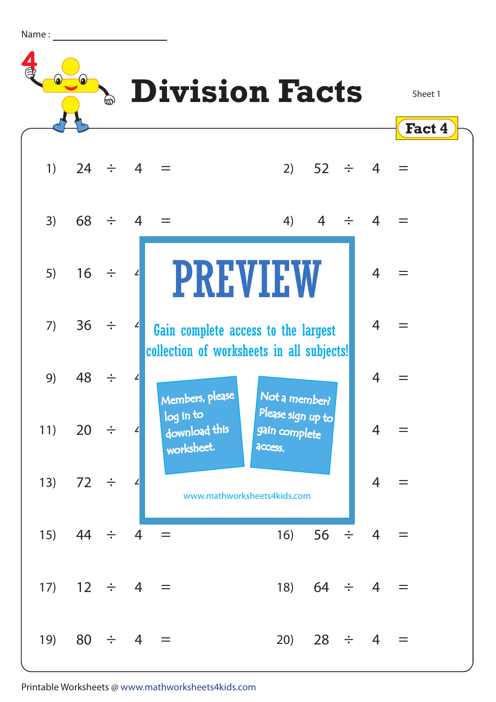